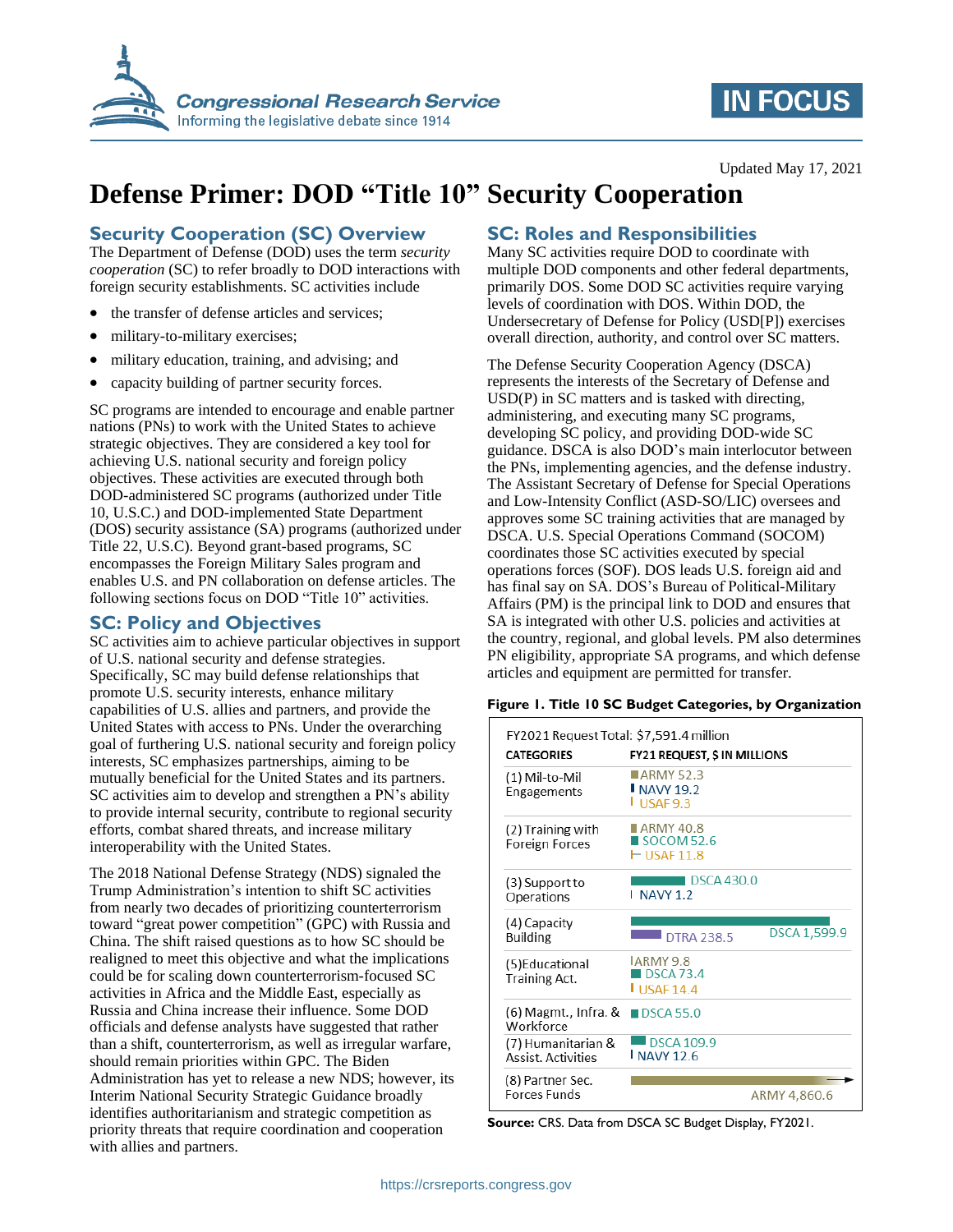

# **IN FOCUS**

# **Defense Primer: DOD "Title 10" Security Cooperation**

# **Security Cooperation (SC) Overview**

The Department of Defense (DOD) uses the term *security cooperation* (SC) to refer broadly to DOD interactions with foreign security establishments. SC activities include

- the transfer of defense articles and services;
- military-to-military exercises;
- military education, training, and advising; and
- capacity building of partner security forces.

SC programs are intended to encourage and enable partner nations (PNs) to work with the United States to achieve strategic objectives. They are considered a key tool for achieving U.S. national security and foreign policy objectives. These activities are executed through both DOD-administered SC programs (authorized under Title 10, U.S.C.) and DOD-implemented State Department (DOS) security assistance (SA) programs (authorized under Title 22, U.S.C). Beyond grant-based programs, SC encompasses the Foreign Military Sales program and enables U.S. and PN collaboration on defense articles. The following sections focus on DOD "Title 10" activities.

### **SC: Policy and Objectives**

SC activities aim to achieve particular objectives in support of U.S. national security and defense strategies. Specifically, SC may build defense relationships that promote U.S. security interests, enhance military capabilities of U.S. allies and partners, and provide the United States with access to PNs. Under the overarching goal of furthering U.S. national security and foreign policy interests, SC emphasizes partnerships, aiming to be mutually beneficial for the United States and its partners. SC activities aim to develop and strengthen a PN's ability to provide internal security, contribute to regional security efforts, combat shared threats, and increase military interoperability with the United States.

The 2018 National Defense Strategy (NDS) signaled the Trump Administration's intention to shift SC activities from nearly two decades of prioritizing counterterrorism toward "great power competition" (GPC) with Russia and China. The shift raised questions as to how SC should be realigned to meet this objective and what the implications could be for scaling down counterterrorism-focused SC activities in Africa and the Middle East, especially as Russia and China increase their influence. Some DOD officials and defense analysts have suggested that rather than a shift, counterterrorism, as well as irregular warfare, should remain priorities within GPC. The Biden Administration has yet to release a new NDS; however, its Interim National Security Strategic Guidance broadly identifies authoritarianism and strategic competition as priority threats that require coordination and cooperation with allies and partners.

# **SC: Roles and Responsibilities**

Many SC activities require DOD to coordinate with multiple DOD components and other federal departments, primarily DOS. Some DOD SC activities require varying levels of coordination with DOS. Within DOD, the Undersecretary of Defense for Policy (USD[P]) exercises overall direction, authority, and control over SC matters.

The Defense Security Cooperation Agency (DSCA) represents the interests of the Secretary of Defense and USD(P) in SC matters and is tasked with directing, administering, and executing many SC programs, developing SC policy, and providing DOD-wide SC guidance. DSCA is also DOD's main interlocutor between the PNs, implementing agencies, and the defense industry. The Assistant Secretary of Defense for Special Operations and Low-Intensity Conflict (ASD-SO/LIC) oversees and approves some SC training activities that are managed by DSCA. U.S. Special Operations Command (SOCOM) coordinates those SC activities executed by special operations forces (SOF). DOS leads U.S. foreign aid and has final say on SA. DOS's Bureau of Political-Military Affairs (PM) is the principal link to DOD and ensures that SA is integrated with other U.S. policies and activities at the country, regional, and global levels. PM also determines PN eligibility, appropriate SA programs, and which defense articles and equipment are permitted for transfer.

#### **Figure 1. Title 10 SC Budget Categories, by Organization**

| <b>CATEGORIES</b>                               | <b>FY21 REQUEST, \$ IN MILLIONS</b>                     |              |  |  |  |  |
|-------------------------------------------------|---------------------------------------------------------|--------------|--|--|--|--|
| (1) Mil-to-Mil<br>Engagements                   | ■ARMY 52.3<br>$NAVY$ 19.2<br>LUSAE 9.3                  |              |  |  |  |  |
| (2) Training with<br>Foreign Forces             | ARMY 40.8<br>$\blacksquare$ SOCOM 52.6<br>$-$ USAF 11.8 |              |  |  |  |  |
| (3) Support to<br>Operations                    | <b>DSCA 430.0</b><br><b>NAVY 1.2</b>                    |              |  |  |  |  |
| (4) Capacity<br><b>Building</b>                 | <b>DTRA 238.5</b>                                       | DSCA 1,599.9 |  |  |  |  |
| (5)Educational<br><b>Training Act.</b>          | LARMY 9.8<br><b>IDSCA 73.4</b><br><b>USAF14.4</b>       |              |  |  |  |  |
| (6) Magmt., Infra. &                            | $\blacksquare$ DSCA 55.0                                |              |  |  |  |  |
| Workforce                                       |                                                         |              |  |  |  |  |
| (7) Humanitarian &<br><b>Assist, Activities</b> | $\blacksquare$ DSCA 109.9<br><b>NAVY 12.6</b>           |              |  |  |  |  |

**Source:** CRS. Data from DSCA SC Budget Display, FY2021.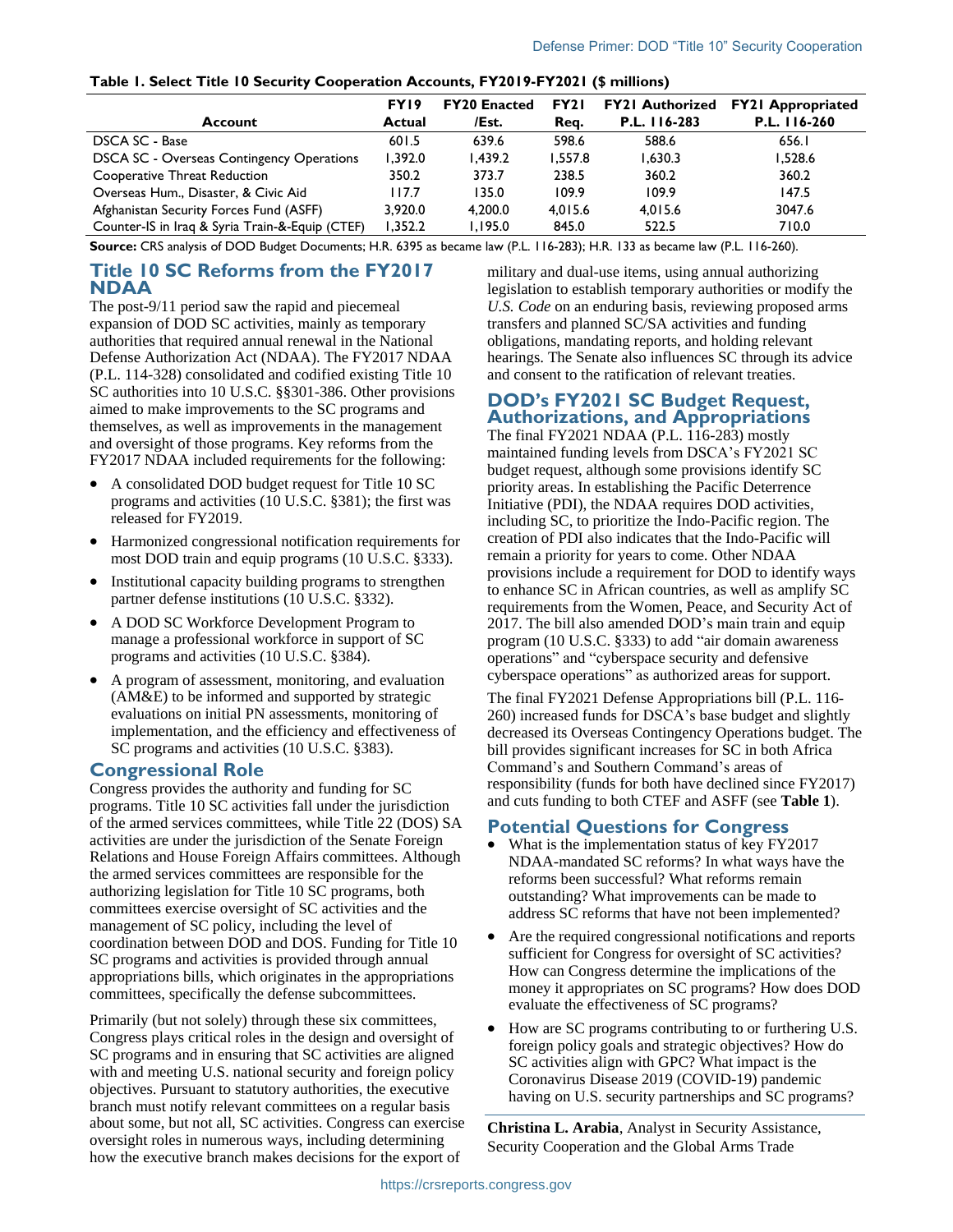<span id="page-1-0"></span>

| Table I. Select Title 10 Security Cooperation Accounts, FY2019-FY2021 (\$ millions) |  |
|-------------------------------------------------------------------------------------|--|
|-------------------------------------------------------------------------------------|--|

|                                                  | FY <sub>19</sub> | <b>FY20 Enacted</b> | FY <sub>2</sub> I | <b>FY21 Authorized</b> | <b>FY21 Appropriated</b> |
|--------------------------------------------------|------------------|---------------------|-------------------|------------------------|--------------------------|
| Account                                          | Actual           | /Est.               | Reg.              | P.L. 116-283           | P.L. 116-260             |
| DSCA SC - Base                                   | 601.5            | 639.6               | 598.6             | 588.6                  | 656.I                    |
| <b>DSCA SC - Overseas Contingency Operations</b> | 1.392.0          | 1.439.2             | 1.557.8           | 1,630.3                | 528.6 ا                  |
| Cooperative Threat Reduction                     | 350.2            | 373.7               | 238.5             | 360.2                  | 360.2                    |
| Overseas Hum., Disaster, & Civic Aid             | l 17.7           | 135.0               | 109.9             | 109.9                  | 147.5                    |
| Afghanistan Security Forces Fund (ASFF)          | 3.920.0          | 4.200.0             | 4.015.6           | 4.015.6                | 3047.6                   |
| Counter-IS in Iraq & Syria Train-&-Equip (CTEF)  | 1.352.2          | 1.195.0             | 845.0             | 522.5                  | 710.0                    |

**Source:** CRS analysis of DOD Budget Documents; H.R. 6395 as became law (P.L. 116-283); H.R. 133 as became law (P.L. 116-260).

#### **Title 10 SC Reforms from the FY2017 NDAA**

The post-9/11 period saw the rapid and piecemeal expansion of DOD SC activities, mainly as temporary authorities that required annual renewal in the National Defense Authorization Act (NDAA). The FY2017 NDAA (P.L. 114-328) consolidated and codified existing Title 10 SC authorities into 10 U.S.C. §§301-386. Other provisions aimed to make improvements to the SC programs and themselves, as well as improvements in the management and oversight of those programs. Key reforms from the FY2017 NDAA included requirements for the following:

- A consolidated DOD budget request for Title 10 SC programs and activities (10 U.S.C. §381); the first was released for FY2019.
- Harmonized congressional notification requirements for most DOD train and equip programs (10 U.S.C. §333).
- Institutional capacity building programs to strengthen partner defense institutions (10 U.S.C. §332).
- A DOD SC Workforce Development Program to manage a professional workforce in support of SC programs and activities (10 U.S.C. §384).
- A program of assessment, monitoring, and evaluation (AM&E) to be informed and supported by strategic evaluations on initial PN assessments, monitoring of implementation, and the efficiency and effectiveness of SC programs and activities (10 U.S.C. §383).

#### **Congressional Role**

Congress provides the authority and funding for SC programs. Title 10 SC activities fall under the jurisdiction of the armed services committees, while Title 22 (DOS) SA activities are under the jurisdiction of the Senate Foreign Relations and House Foreign Affairs committees. Although the armed services committees are responsible for the authorizing legislation for Title 10 SC programs, both committees exercise oversight of SC activities and the management of SC policy, including the level of coordination between DOD and DOS. Funding for Title 10 SC programs and activities is provided through annual appropriations bills, which originates in the appropriations committees, specifically the defense subcommittees.

Primarily (but not solely) through these six committees, Congress plays critical roles in the design and oversight of SC programs and in ensuring that SC activities are aligned with and meeting U.S. national security and foreign policy objectives. Pursuant to statutory authorities, the executive branch must notify relevant committees on a regular basis about some, but not all, SC activities. Congress can exercise oversight roles in numerous ways, including determining how the executive branch makes decisions for the export of

military and dual-use items, using annual authorizing legislation to establish temporary authorities or modify the *U.S. Code* on an enduring basis, reviewing proposed arms transfers and planned SC/SA activities and funding obligations, mandating reports, and holding relevant hearings. The Senate also influences SC through its advice and consent to the ratification of relevant treaties.

#### **DOD's FY2021 SC Budget Request, Authorizations, and Appropriations**

The final FY2021 NDAA (P.L. 116-283) mostly maintained funding levels from DSCA's FY2021 SC budget request, although some provisions identify SC priority areas. In establishing the Pacific Deterrence Initiative (PDI), the NDAA requires DOD activities, including SC, to prioritize the Indo-Pacific region. The creation of PDI also indicates that the Indo-Pacific will remain a priority for years to come. Other NDAA provisions include a requirement for DOD to identify ways to enhance SC in African countries, as well as amplify SC requirements from the Women, Peace, and Security Act of 2017. The bill also amended DOD's main train and equip program (10 U.S.C. §333) to add "air domain awareness operations" and "cyberspace security and defensive cyberspace operations" as authorized areas for support.

The final FY2021 Defense Appropriations bill (P.L. 116- 260) increased funds for DSCA's base budget and slightly decreased its Overseas Contingency Operations budget. The bill provides significant increases for SC in both Africa Command's and Southern Command's areas of responsibility (funds for both have declined since FY2017) and cuts funding to both CTEF and ASFF (see **[Table 1](#page-1-0)**).

### **Potential Questions for Congress**

- What is the implementation status of key FY2017 NDAA-mandated SC reforms? In what ways have the reforms been successful? What reforms remain outstanding? What improvements can be made to address SC reforms that have not been implemented?
- Are the required congressional notifications and reports sufficient for Congress for oversight of SC activities? How can Congress determine the implications of the money it appropriates on SC programs? How does DOD evaluate the effectiveness of SC programs?
- How are SC programs contributing to or furthering U.S. foreign policy goals and strategic objectives? How do SC activities align with GPC? What impact is the Coronavirus Disease 2019 (COVID-19) pandemic having on U.S. security partnerships and SC programs?

**Christina L. Arabia**, Analyst in Security Assistance, Security Cooperation and the Global Arms Trade